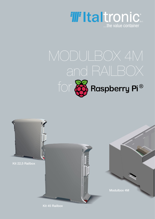

# for **&** Raspberry Pi<sup>®</sup>

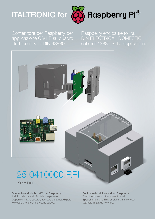# ITALTRONIC for



Contenitore per Raspberry per applicazione CIVILE su quadro elettrico a STD DIN 43880.

Raspberry enclosure for rail DIN ELECTRICAL DOMESTIC cabinet 43880 STD application.



## 25.0410000.RPI

Kit 4M Rasp

#### Contenitore Modulbox 4M per Raspberry

Il Kit include pannello frontale trasparente. Disponibili finiture speciali, fresatura o stampa digitale low cost, anche con consegna veloce.

#### Enclosure Modulbox 4M for Raspberry The kit includes top transparent panel. Special finishing, drilling or digital print low cost available in fast delivery too.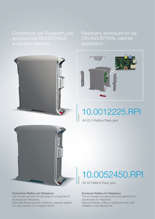Raspberry enclosure for rail DIN INDUSTRIAL cabinet application.





## 10.0012225.RPI

Kit 22,5 Railbox Rasp grey



Contenitore Railbox per Raspberry Il kit include pannello frontale grigio e kit speciale di accessori per Raspberry. Disponibili finiture speciali, fresatura o stampa digitale low cost, anche con consegna veloce.

### 10.0052450.RPI

Kit 45 Railbox Rasp grey

#### Enclosure Railbox for Raspberry

The kit includes top grey panel and special kit of accessories for Raspberry. Special finishing, drilling or digital print low cost available in fast delivery too.